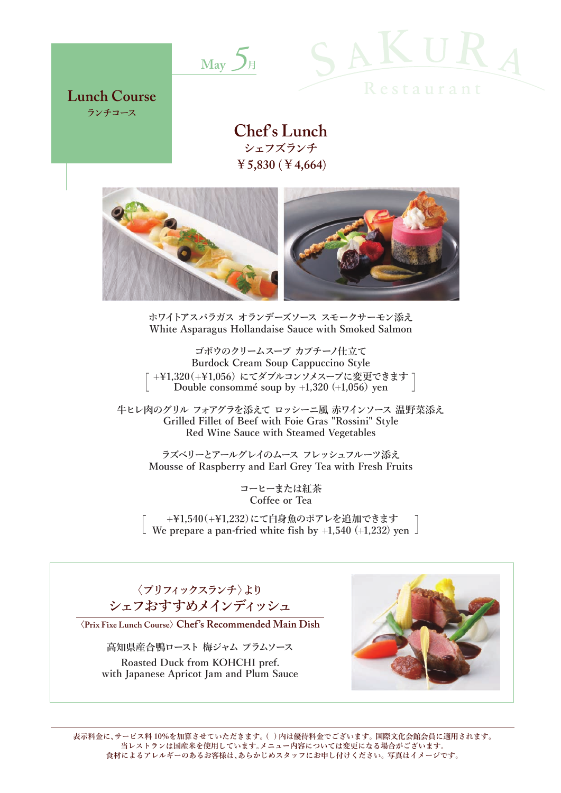



**Lunch Course ランチコース**

> **Chef's Lunch シェフズランチ ¥5,830** (**¥4,664**)



**ホワイトアスパラガス オランデーズソース スモークサーモン添え White Asparagus Hollandaise Sauce with Smoked Salmon**

**ゴボウのクリームスープ カプチーノ仕立て Burdock Cream Soup Cappuccino Style [ +\1,320(+\1,056) にてダブルコンソメスープに変更できます Double consommé soup by +1,320 (+1,056) yen ]**

**牛ヒレ肉のグリル フォアグラを添えて ロッシーニ風 赤ワインソース 温野菜添え Grilled Fillet of Beef with Foie Gras "Rossini" Style Red Wine Sauce with Steamed Vegetables**

**ラズベリーとアールグレイのムース フレッシュフルーツ添え Mousse of Raspberry and Earl Grey Tea with Fresh Fruits**

> **コーヒーまたは紅茶 Coffee or Tea**

**[ +\1,540(+\1,232)にて白身魚のポアレを追加できます We prepare a pan-fried white fish by +1,540 (+1,232) yen ]**

**〈プリフィックスランチ〉より シェフおすすめメインディッシュ**

〈**Prix Fixe Lunch Course**〉**Chef 's Recommended Main Dish** 

**高知県産合鴨ロースト 梅ジャム プラムソース Roasted Duck from KOHCHI pref. with Japanese Apricot Jam and Plum Sauce**